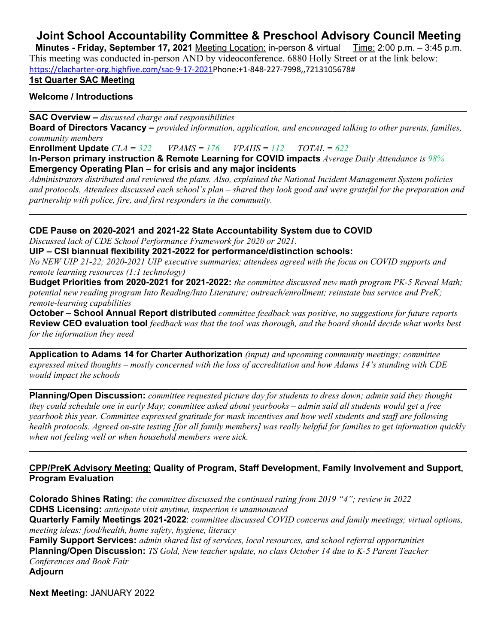# **Joint School Accountability Committee & Preschool Advisory Council Meeting**

**Minutes - Friday, September 17, 2021** Meeting Location: in-person & virtual Time: 2:00 p.m. - 3:45 p.m. This meeting was conducted in-person AND by videoconference. 6880 Holly Street or at the link below: [https://clacharter-org.highfive.com/sac-9-17-2021P](https://clacharter-org.highfive.com/sac-9-17-2021phone)hone:+1-848-227-7998,,7213105678#

### **1st Quarter SAC Meeting**

### **Welcome / Introductions**

**SAC Overview –** *discussed charge and responsibilities* 

**Board of Directors Vacancy –** *provided information, application, and encouraged talking to other parents, families, community members*

**\_\_\_\_\_\_\_\_\_\_\_\_\_\_\_\_\_\_\_\_\_\_\_\_\_\_\_\_\_\_\_\_\_\_\_\_\_\_\_\_\_\_\_\_\_\_\_\_\_\_\_\_\_\_\_\_\_\_\_\_\_\_\_\_\_\_\_\_\_\_\_\_\_\_\_\_\_\_\_\_\_\_\_\_\_\_\_\_**

**Enrollment Update** *CLA = 322 VPAMS = 176 VPAHS = 112 TOTAL = 622*

**In-Person primary instruction & Remote Learning for COVID impacts** *Average Daily Attendance is 98%* **Emergency Operating Plan – for crisis and any major incidents**

*Administrators distributed and reviewed the plans. Also, explained the National Incident Management System policies and protocols. Attendees discussed each school's plan – shared they look good and were grateful for the preparation and partnership with police, fire, and first responders in the community.* 

**\_\_\_\_\_\_\_\_\_\_\_\_\_\_\_\_\_\_\_\_\_\_\_\_\_\_\_\_\_\_\_\_\_\_\_\_\_\_\_\_\_\_\_\_\_\_\_\_\_\_\_\_\_\_\_\_\_\_\_\_\_\_\_\_\_\_\_\_\_\_\_\_\_\_\_\_\_\_\_\_\_\_\_\_\_\_\_\_**

**CDE Pause on 2020-2021 and 2021-22 State Accountability System due to COVID**

*Discussed lack of CDE School Performance Framework for 2020 or 2021.* 

**UIP – CSI biannual flexibility 2021-2022 for performance/distinction schools:** 

*No NEW UIP 21-22; 2020-2021 UIP executive summaries; attendees agreed with the focus on COVID supports and remote learning resources (1:1 technology)*

**Budget Priorities from 2020-2021 for 2021-2022:** *the committee discussed new math program PK-5 Reveal Math; potential new reading program Into Reading/Into Literature; outreach/enrollment; reinstate bus service and PreK; remote-learning capabilities*

**October – School Annual Report distributed** *committee feedback was positive, no suggestions for future reports*  **Review CEO evaluation tool** *feedback was that the tool was thorough, and the board should decide what works best for the information they need*

**\_\_\_\_\_\_\_\_\_\_\_\_\_\_\_\_\_\_\_\_\_\_\_\_\_\_\_\_\_\_\_\_\_\_\_\_\_\_\_\_\_\_\_\_\_\_\_\_\_\_\_\_\_\_\_\_\_\_\_\_\_\_\_\_\_\_\_\_\_\_\_\_\_\_\_\_\_\_\_\_\_\_\_\_\_\_\_\_ Application to Adams 14 for Charter Authorization** *(input) and upcoming community meetings; committee expressed mixed thoughts – mostly concerned with the loss of accreditation and how Adams 14's standing with CDE would impact the schools*

**\_\_\_\_\_\_\_\_\_\_\_\_\_\_\_\_\_\_\_\_\_\_\_\_\_\_\_\_\_\_\_\_\_\_\_\_\_\_\_\_\_\_\_\_\_\_\_\_\_\_\_\_\_\_\_\_\_\_\_\_\_\_\_\_\_\_\_\_\_\_\_\_\_\_\_\_\_\_\_\_\_\_\_\_\_\_\_\_ Planning/Open Discussion:** *committee requested picture day for students to dress down; admin said they thought they could schedule one in early May; committee asked about yearbooks – admin said all students would get a free yearbook this year. Committee expressed gratitude for mask incentives and how well students and staff are following health protocols. Agreed on-site testing [for all family members] was really helpful for families to get information quickly when not feeling well or when household members were sick.*

**\_\_\_\_\_\_\_\_\_\_\_\_\_\_\_\_\_\_\_\_\_\_\_\_\_\_\_\_\_\_\_\_\_\_\_\_\_\_\_\_\_\_\_\_\_\_\_\_\_\_\_\_\_\_\_\_\_\_\_\_\_\_\_\_\_\_\_\_\_\_\_\_\_\_\_\_\_\_\_\_\_\_\_\_\_\_\_\_**

### **CPP/PreK Advisory Meeting: Quality of Program, Staff Development, Family Involvement and Support, Program Evaluation**

**Colorado Shines Rating**: *the committee discussed the continued rating from 2019 "4"; review in 2022* **CDHS Licensing:** *anticipate visit anytime, inspection is unannounced* **Quarterly Family Meetings 2021-2022**: *committee discussed COVID concerns and family meetings; virtual options, meeting ideas: food/health, home safety, hygiene, literacy* **Family Support Services:** *admin shared list of services, local resources, and school referral opportunities* **Planning/Open Discussion:** *TS Gold, New teacher update, no class October 14 due to K-5 Parent Teacher Conferences and Book Fair* **Adjourn**

**Next Meeting:** JANUARY 2022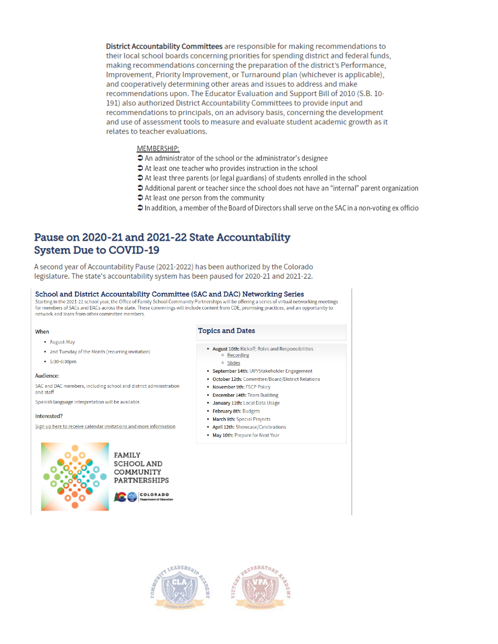District Accountability Committees are responsible for making recommendations to their local school boards concerning priorities for spending district and federal funds, making recommendations concerning the preparation of the district's Performance, Improvement, Priority Improvement, or Turnaround plan (whichever is applicable), and cooperatively determining other areas and issues to address and make recommendations upon. The Educator Evaluation and Support Bill of 2010 (S.B. 10-191) also authorized District Accountability Committees to provide input and recommendations to principals, on an advisory basis, concerning the development and use of assessment tools to measure and evaluate student academic growth as it relates to teacher evaluations.

### MEMBERSHIP:

- An administrator of the school or the administrator's designee
- At least one teacher who provides instruction in the school
- At least three parents (or legal guardians) of students enrolled in the school
- → Additional parent or teacher since the school does not have an "internal" parent organization
- At least one person from the community
- $\supset$  In addition, a member of the Board of Directors shall serve on the SAC in a non-voting ex officio

### Pause on 2020-21 and 2021-22 State Accountability **System Due to COVID-19**

A second year of Accountability Pause (2021-2022) has been authorized by the Colorado legislature. The state's accountability system has been paused for 2020-21 and 2021-22.

#### School and District Accountability Committee (SAC and DAC) Networking Series

Starting in the 2021-22 school year, the Office of Family School Community Partnerships will be offering a series of virtual networking meetings<br>for members of SACs and DACs across the state. These convenings will include network and learn from other committee members.

#### When

- August-May
- 2nd Tuesday of the Month (recurring invitation)
- $-5:30-6:30$ pm

#### Audience:

SAC and DAC members, including school and district administration and staff

Spanish language interpretation will be available.

#### Interested?

Sign up here to receive calendar invitations and more information



**FAMILY SCHOOL AND** COMMUNITY PARTNERSHIPS



#### **Topics and Dates**

- August 10th: Kickoff; Roles and Responsibilities o Recording
	- o Slides
- September 14th: UIP/Stakeholder Engagement
- October 12th: Committee/Board/District Relations
- November 9th: FSCP Policy
- December 14th: Team Building
- · January 11th: Local Data Usage
- February 8th: Budgets
- March 8th: Special Projects
- April 12th: Showcase/Celebrations
- May 10th: Prepare for Next Year



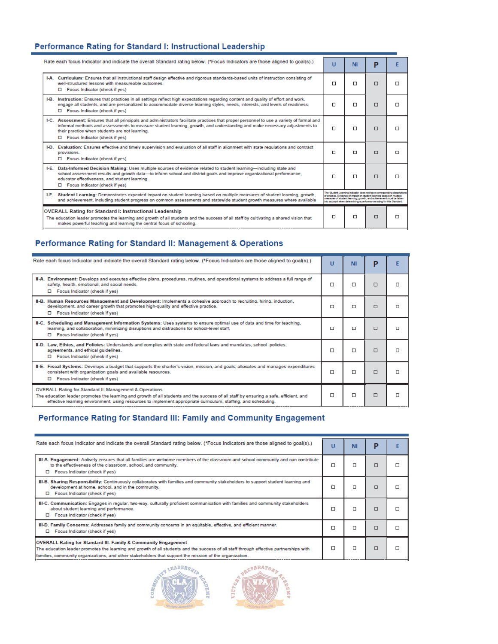### Performance Rating for Standard I: Instructional Leadership

| Rate each focus Indicator and indicate the overall Standard rating below. (*Focus Indicators are those aligned to goal(s).) |                                                                                                                                                                                                                                                                                                                                                            | u                                                                                                                                                                                                                                                                                                | <b>NI</b> | P |   |
|-----------------------------------------------------------------------------------------------------------------------------|------------------------------------------------------------------------------------------------------------------------------------------------------------------------------------------------------------------------------------------------------------------------------------------------------------------------------------------------------------|--------------------------------------------------------------------------------------------------------------------------------------------------------------------------------------------------------------------------------------------------------------------------------------------------|-----------|---|---|
|                                                                                                                             | I-A. Curriculum: Ensures that all instructional staff design effective and rigorous standards-based units of instruction consisting of<br>well-structured lessons with measureable outcomes.<br>□ Focus Indicator (check if yes)                                                                                                                           | п                                                                                                                                                                                                                                                                                                | п         | п | п |
| I-B.                                                                                                                        | Instruction: Ensures that practices in all settings reflect high expectations regarding content and quality of effort and work,<br>engage all students, and are personalized to accommodate diverse learning styles, needs, interests, and levels of readiness.<br>□ Focus Indicator (check if yes)                                                        | □                                                                                                                                                                                                                                                                                                | п         | п | П |
|                                                                                                                             | I-C. Assessment: Ensures that all principals and administrators facilitate practices that propel personnel to use a variety of formal and<br>informal methods and assessments to measure student learning, growth, and understanding and make necessary adjustments to<br>their practice when students are not learning.<br>Focus Indicator (check if yes) | п                                                                                                                                                                                                                                                                                                | п         | п | п |
|                                                                                                                             | I-D. Evaluation: Ensures effective and timely supervision and evaluation of all staff in alignment with state regulations and contract<br>provisions.<br>Focus Indicator (check if yes)                                                                                                                                                                    | П                                                                                                                                                                                                                                                                                                | п         | □ | п |
|                                                                                                                             | I-E. Data-Informed Decision Making: Uses multiple sources of evidence related to student learning-including state and<br>school assessment results and growth data-to inform school and district goals and improve organizational performance.<br>educator effectiveness, and student learning.<br>□ Focus Indicator (check if yes)                        | □                                                                                                                                                                                                                                                                                                | п         | п | п |
|                                                                                                                             | I-F. Student Learning: Demonstrates expected impact on student learning based on multiple measures of student learning, growth,<br>and achievement, including student progress on common assessments and statewide student growth measures where available                                                                                                 | The Student Learning Indicator does not have corresponding descriptions<br>of practice. Evidence of impact on student learning based on multiple<br>measures of student learning, growth, and achievement must be taken<br>into account when determining a performance rating for this Standard. |           |   |   |
|                                                                                                                             | <b>OVERALL Rating for Standard I: Instructional Leadership</b><br>The education leader promotes the learning and growth of all students and the success of all staff by cultivating a shared vision that<br>makes powerful teaching and learning the central focus of schooling.                                                                           | □                                                                                                                                                                                                                                                                                                | □         | □ | □ |

## Performance Rating for Standard II: Management & Operations

| Rate each focus Indicator and indicate the overall Standard rating below. (*Focus Indicators are those aligned to goal(s).)                                                                                                                                                                                                   |        | <b>NI</b> | P | F |
|-------------------------------------------------------------------------------------------------------------------------------------------------------------------------------------------------------------------------------------------------------------------------------------------------------------------------------|--------|-----------|---|---|
| II-A. Environment: Develops and executes effective plans, procedures, routines, and operational systems to address a full range of<br>safety, health, emotional, and social needs.<br>□ Focus Indicator (check if yes)                                                                                                        | □      | □         | □ | п |
| II-B. Human Resources Management and Development: Implements a cohesive approach to recruiting, hiring, induction,<br>development, and career growth that promotes high-quality and effective practice.<br>Focus Indicator (check if yes)<br>$\Box$                                                                           | $\Box$ | $\Box$    | □ | П |
| II-C. Scheduling and Management Information Systems: Uses systems to ensure optimal use of data and time for teaching,<br>learning, and collaboration, minimizing disruptions and distractions for school-level staff.<br>Focus Indicator (check if yes)                                                                      | □      | $\Box$    | □ | □ |
| II-D. Law, Ethics, and Policies: Understands and complies with state and federal laws and mandates, school policies,<br>agreements, and ethical guidelines.<br>Focus Indicator (check if yes)                                                                                                                                 | П      | $\Box$    | □ | П |
| II-E. Fiscal Systems: Develops a budget that supports the charter's vision, mission, and goals; allocates and manages expenditures<br>consistent with organization goals and available resources.<br>Focus Indicator (check if yes)                                                                                           | □      | □         | □ | □ |
| <b>OVERALL Rating for Standard II: Management &amp; Operations</b><br>The education leader promotes the learning and growth of all students and the success of all staff by ensuring a safe, efficient, and<br>effective learning environment, using resources to implement appropriate curriculum, staffing, and scheduling. |        | п         | □ | п |

### Performance Rating for Standard III: Family and Community Engagement

| Rate each focus Indicator and indicate the overall Standard rating below. (*Focus Indicators are those aligned to goal(s).)                                                                                                                                                                                         |   | <b>NI</b> | Р |  |
|---------------------------------------------------------------------------------------------------------------------------------------------------------------------------------------------------------------------------------------------------------------------------------------------------------------------|---|-----------|---|--|
| III-A. Engagement: Actively ensures that all families are welcome members of the classroom and school community and can contribute<br>to the effectiveness of the classroom, school, and community.<br>Focus Indicator (check if yes)<br>▫                                                                          |   | п         | □ |  |
| III-B. Sharing Responsibility: Continuously collaborates with families and community stakeholders to support student learning and<br>development at home, school, and in the community.<br>$\Box$ Focus Indicator (check if yes)                                                                                    | □ | п         | □ |  |
| III-C. Communication: Engages in regular, two-way, culturally proficient communication with families and community stakeholders<br>about student learning and performance.<br>□ Focus Indicator (check if yes)                                                                                                      |   | п         | п |  |
| III-D. Family Concerns: Addresses family and community concerns in an equitable, effective, and efficient manner.<br>Focus Indicator (check if yes)                                                                                                                                                                 |   | п         | п |  |
| OVERALL Rating for Standard III: Family & Community Engagement<br>The education leader promotes the learning and growth of all students and the success of all staff through effective partnerships with<br>families, community organizations, and other stakeholders that support the mission of the organization. |   | п         | П |  |